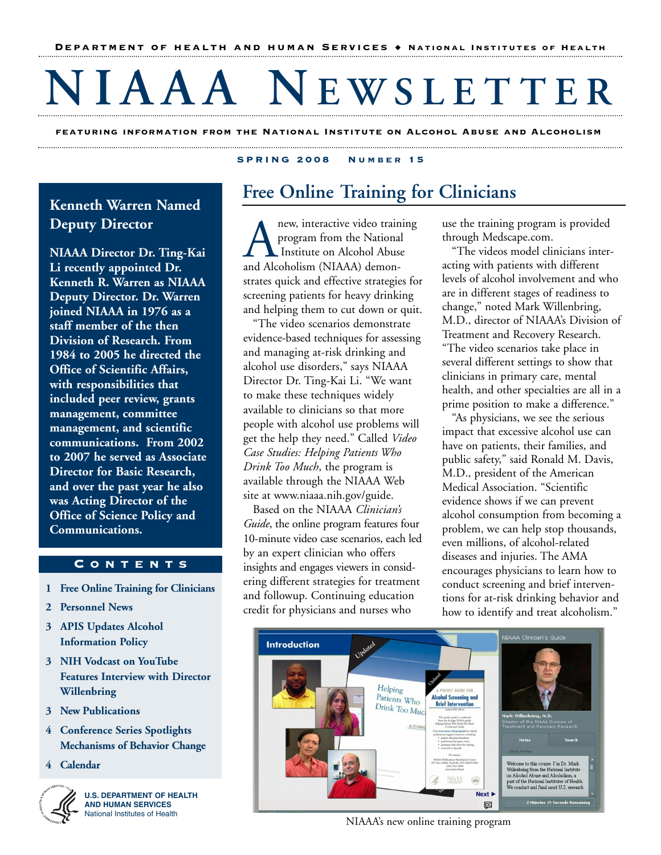# **NIAAA N EWSLETTER**

**featuring information from the National Institute on Alcohol Abuse and Alcoholism**  

### **Kenneth Warren Named Deputy Director**

**NIAAA Director Dr. Ting-Kai Li recently appointed Dr. Kenneth R. Warren as NIAAA Deputy Director. Dr. Warren joined NIAAA in 1976 as a staff member of the then Division of Research. From 1984 to 2005 he directed the Office of Scientific Affairs, with responsibilities that included peer review, grants management, committee management, and scientific communications. From 2002 to 2007 he served as Associate Director for Basic Research, and over the past year he also was Acting Director of the Office of Science Policy and Communications.** 

### **Contents**

- **1 Free Online Training for Clinicians**
- **2 Personnel News**
- **3 APIS Updates Alcohol Information Policy**
- **3 NIH Vodcast on YouTube Features Interview with Director Willenbring**
- **3 New Publications**
- **4 Conference Series Spotlights Mechanisms of Behavior Change**
- **4 Calendar**



**U.S. DEPARTMENT OF HEALTH AND HUMAN SERVICES**  National Institutes of Health

### **S PRING 2008 Number 15**

### **Free Online Training for Clinicians**

Anew, interactive video training<br>program from the National<br>and Alcoholism (NIAAA) demonprogram from the National Institute on Alcohol Abuse strates quick and effective strategies for screening patients for heavy drinking and helping them to cut down or quit.

"The video scenarios demonstrate evidence-based techniques for assessing and managing at-risk drinking and alcohol use disorders," says NIAAA Director Dr. Ting-Kai Li. "We want to make these techniques widely available to clinicians so that more people with alcohol use problems will get the help they need." Called *Video Case Studies: Helping Patients Who Drink Too Much*, the program is available through the NIAAA Web site at www.niaaa.nih.gov/guide.

Based on the NIAAA *Clinician's Guide*, the online program features four 10-minute video case scenarios, each led by an expert clinician who offers insights and engages viewers in considering different strategies for treatment and followup. Continuing education credit for physicians and nurses who

use the training program is provided through Medscape.com.

"The videos model clinicians interacting with patients with different levels of alcohol involvement and who are in different stages of readiness to change," noted Mark Willenbring, M.D., director of NIAAA's Division of Treatment and Recovery Research. "The video scenarios take place in several different settings to show that clinicians in primary care, mental health, and other specialties are all in a prime position to make a difference."

"As physicians, we see the serious impact that excessive alcohol use can have on patients, their families, and public safety," said Ronald M. Davis, M.D., president of the American Medical Association. "Scientific evidence shows if we can prevent alcohol consumption from becoming a problem, we can help stop thousands, even millions, of alcohol-related diseases and injuries. The AMA encourages physicians to learn how to conduct screening and brief interventions for at-risk drinking behavior and how to identify and treat alcoholism."



NIAAA's new online training program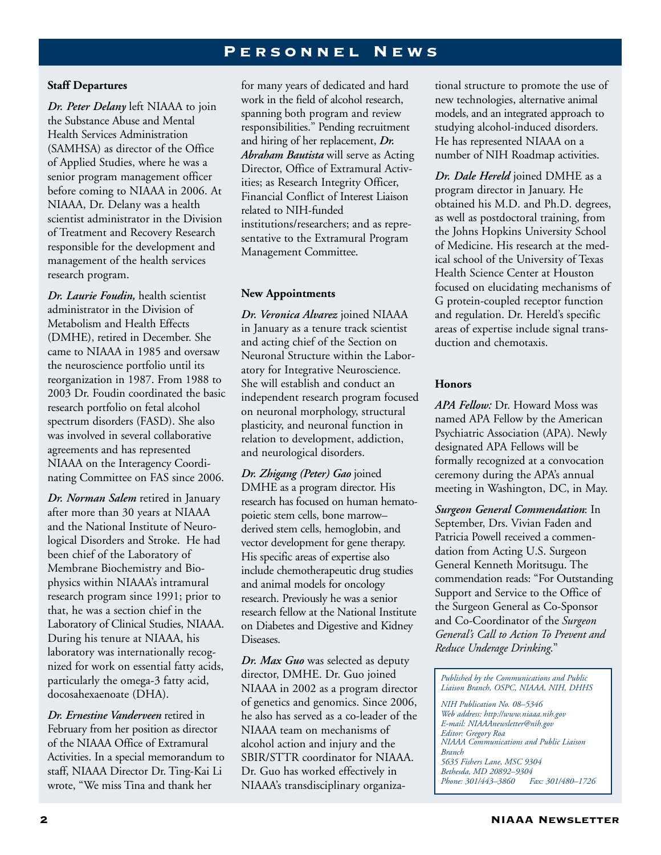### PERSONNEL NEWS

### **Staff Departures**

*Dr. Peter Delany* left NIAAA to join the Substance Abuse and Mental Health Services Administration (SAMHSA) as director of the Office of Applied Studies, where he was a senior program management officer before coming to NIAAA in 2006. At NIAAA, Dr. Delany was a health scientist administrator in the Division of Treatment and Recovery Research responsible for the development and management of the health services research program.

*Dr. Laurie Foudin,* health scientist administrator in the Division of Metabolism and Health Effects (DMHE), retired in December. She came to NIAAA in 1985 and oversaw the neuroscience portfolio until its reorganization in 1987. From 1988 to 2003 Dr. Foudin coordinated the basic research portfolio on fetal alcohol spectrum disorders (FASD). She also was involved in several collaborative agreements and has represented NIAAA on the Interagency Coordinating Committee on FAS since 2006.

*Dr. Norman Salem* retired in January after more than 30 years at NIAAA and the National Institute of Neurological Disorders and Stroke. He had been chief of the Laboratory of Membrane Biochemistry and Biophysics within NIAAA's intramural research program since 1991; prior to that, he was a section chief in the Laboratory of Clinical Studies, NIAAA. During his tenure at NIAAA, his laboratory was internationally recognized for work on essential fatty acids, particularly the omega-3 fatty acid, docosahexaenoate (DHA).

*Dr. Ernestine Vanderveen* retired in February from her position as director of the NIAAA Office of Extramural Activities. In a special memorandum to staff, NIAAA Director Dr. Ting-Kai Li wrote, "We miss Tina and thank her

for many years of dedicated and hard work in the field of alcohol research, spanning both program and review responsibilities." Pending recruitment and hiring of her replacement, *Dr. Abraham Bautista* will serve as Acting Director, Office of Extramural Activities; as Research Integrity Officer, Financial Conflict of Interest Liaison related to NIH-funded institutions/researchers; and as representative to the Extramural Program Management Committee.

#### **New Appointments**

*Dr. Veronica Alvarez* joined NIAAA in January as a tenure track scientist and acting chief of the Section on Neuronal Structure within the Laboratory for Integrative Neuroscience. She will establish and conduct an independent research program focused on neuronal morphology, structural plasticity, and neuronal function in relation to development, addiction, and neurological disorders.

*Dr. Zhigang (Peter) Gao* joined DMHE as a program director. His research has focused on human hematopoietic stem cells, bone marrow– derived stem cells, hemoglobin, and vector development for gene therapy. His specific areas of expertise also include chemotherapeutic drug studies and animal models for oncology research. Previously he was a senior research fellow at the National Institute on Diabetes and Digestive and Kidney Diseases.

*Dr. Max Guo* was selected as deputy director, DMHE. Dr. Guo joined NIAAA in 2002 as a program director of genetics and genomics. Since 2006, he also has served as a co-leader of the NIAAA team on mechanisms of alcohol action and injury and the SBIR/STTR coordinator for NIAAA. Dr. Guo has worked effectively in NIAAA's transdisciplinary organiza-

tional structure to promote the use of new technologies, alternative animal models, and an integrated approach to studying alcohol-induced disorders. He has represented NIAAA on a number of NIH Roadmap activities.

*Dr. Dale Hereld* joined DMHE as a program director in January. He obtained his M.D. and Ph.D. degrees, as well as postdoctoral training, from the Johns Hopkins University School of Medicine. His research at the medical school of the University of Texas Health Science Center at Houston focused on elucidating mechanisms of G protein-coupled receptor function and regulation. Dr. Hereld's specific areas of expertise include signal transduction and chemotaxis.

### **Honors**

*APA Fellow:* Dr. Howard Moss was named APA Fellow by the American Psychiatric Association (APA). Newly designated APA Fellows will be formally recognized at a convocation ceremony during the APA's annual meeting in Washington, DC, in May.

*Surgeon General Commendation*: In September, Drs. Vivian Faden and Patricia Powell received a commendation from Acting U.S. Surgeon General Kenneth Moritsugu. The commendation reads: "For Outstanding Support and Service to the Office of the Surgeon General as Co-Sponsor and Co-Coordinator of the *Surgeon General's Call to Action To Prevent and Reduce Underage Drinking*."

*Published by the Communications and Public Liaison Branch, OSPC, NIAAA, NIH, DHHS* 

*NIH Publication No. 08–5346 Web address: http://www.niaaa.nih.gov E-mail: NIAAAnewsletter@nih.gov Editor: Gregory Roa NIAAA Communications and Public Liaison Branch 5635 Fishers Lane, MSC 9304 Bethesda, MD 20892–9304 Phone: 301/443–3860*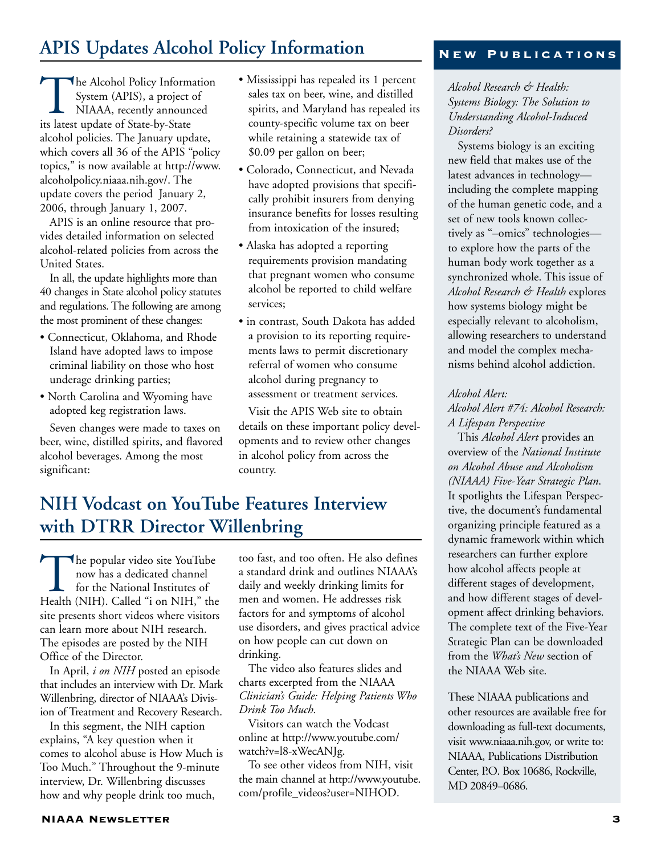### **APIS Updates Alcohol Policy Information**

The Alcohol Policy Information System (APIS), a project of NIAAA, recently announced its latest update of State-by-State alcohol policies. The January update, which covers all 36 of the APIS "policy topics," is now available at http://www. alcoholpolicy.niaaa.nih.gov/. The update covers the period January 2, 2006, through January 1, 2007.

APIS is an online resource that provides detailed information on selected alcohol-related policies from across the United States.

In all, the update highlights more than 40 changes in State alcohol policy statutes and regulations. The following are among the most prominent of these changes:

- Connecticut, Oklahoma, and Rhode Island have adopted laws to impose criminal liability on those who host underage drinking parties;
- North Carolina and Wyoming have adopted keg registration laws.

Seven changes were made to taxes on beer, wine, distilled spirits, and flavored alcohol beverages. Among the most significant:

- Mississippi has repealed its 1 percent sales tax on beer, wine, and distilled spirits, and Maryland has repealed its county-specific volume tax on beer while retaining a statewide tax of \$0.09 per gallon on beer;
- Colorado, Connecticut, and Nevada have adopted provisions that specifically prohibit insurers from denying insurance benefits for losses resulting from intoxication of the insured;
- Alaska has adopted a reporting requirements provision mandating that pregnant women who consume alcohol be reported to child welfare services;
- in contrast, South Dakota has added a provision to its reporting requirements laws to permit discretionary referral of women who consume alcohol during pregnancy to assessment or treatment services.

Visit the APIS Web site to obtain details on these important policy developments and to review other changes in alcohol policy from across the country.

### **NIH Vodcast on YouTube Features Interview with DTRR Director Willenbring**

The popular video site YouTube<br>now has a dedicated channel<br>for the National Institutes of<br>Health (NIH). Called "i on NIH," the now has a dedicated channel for the National Institutes of site presents short videos where visitors can learn more about NIH research. The episodes are posted by the NIH Office of the Director.

In April, *i on NIH* posted an episode that includes an interview with Dr. Mark Willenbring, director of NIAAA's Division of Treatment and Recovery Research.

In this segment, the NIH caption explains, "A key question when it comes to alcohol abuse is How Much is Too Much." Throughout the 9-minute interview, Dr. Willenbring discusses how and why people drink too much,

too fast, and too often. He also defines a standard drink and outlines NIAAA's daily and weekly drinking limits for men and women. He addresses risk factors for and symptoms of alcohol use disorders, and gives practical advice on how people can cut down on drinking.

The video also features slides and charts excerpted from the NIAAA *Clinician's Guide: Helping Patients Who Drink Too Much.* 

Visitors can watch the Vodcast online at http://www.youtube.com/ watch?v=l8-xWecANJg.

To see other videos from NIH, visit the main channel at http://www.youtube. com/profile\_videos?user=NIHOD.

### **New Publications**

*Alcohol Research & Health: Systems Biology: The Solution to Understanding Alcohol-Induced Disorders?* 

Systems biology is an exciting new field that makes use of the latest advances in technology including the complete mapping of the human genetic code, and a set of new tools known collectively as "–omics" technologies to explore how the parts of the human body work together as a synchronized whole. This issue of *Alcohol Research & Health* explores how systems biology might be especially relevant to alcoholism, allowing researchers to understand and model the complex mechanisms behind alcohol addiction.

#### *Alcohol Alert:*

*Alcohol Alert #74: Alcohol Research: A Lifespan Perspective* 

This *Alcohol Alert* provides an overview of the *National Institute on Alcohol Abuse and Alcoholism (NIAAA) Five-Year Strategic Plan*. It spotlights the Lifespan Perspective, the document's fundamental organizing principle featured as a dynamic framework within which researchers can further explore how alcohol affects people at different stages of development, and how different stages of development affect drinking behaviors. The complete text of the Five-Year Strategic Plan can be downloaded from the *What's New* section of the NIAAA Web site.

These NIAAA publications and other resources are available free for downloading as full-text documents, visit www.niaaa.nih.gov, or write to: NIAAA, Publications Distribution Center, P.O. Box 10686, Rockville, MD 20849–0686.